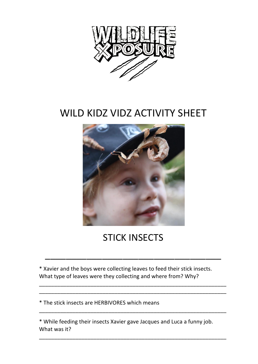

## WILD KIDZ VIDZ ACTIVITY SHEET



## **STICK INSECTS**

\_\_\_\_\_\_\_\_\_\_\_\_\_\_\_\_\_\_\_\_\_\_\_\_\_\_\_\_\_\_\_\_\_\_

\_\_\_\_\_\_\_\_\_\_\_\_\_\_\_\_\_\_\_\_\_\_\_\_\_\_\_\_\_\_\_\_\_\_\_\_\_\_\_\_\_\_\_\_\_\_\_\_\_\_\_\_\_\_\_\_\_\_\_\_\_\_ \_\_\_\_\_\_\_\_\_\_\_\_\_\_\_\_\_\_\_\_\_\_\_\_\_\_\_\_\_\_\_\_\_\_\_\_\_\_\_\_\_\_\_\_\_\_\_\_\_\_\_\_\_\_\_\_\_\_\_\_\_\_

\_\_\_\_\_\_\_\_\_\_\_\_\_\_\_\_\_\_\_\_\_\_\_\_\_\_\_\_\_\_\_\_\_\_\_\_\_\_\_\_\_\_\_\_\_\_\_\_\_\_\_\_\_\_\_\_\_\_\_\_\_\_

\_\_\_\_\_\_\_\_\_\_\_\_\_\_\_\_\_\_\_\_\_\_\_\_\_\_\_\_\_\_\_\_\_\_\_\_\_\_\_\_\_\_\_\_\_\_\_\_\_\_\_\_\_\_\_\_\_\_\_\_\_\_

\* Xavier and the boys were collecting leaves to feed their stick insects. What type of leaves were they collecting and where from? Why?

\* The stick insects are HERBIVORES which means 

\* While feeding their insects Xavier gave Jacques and Luca a funny job. What was it?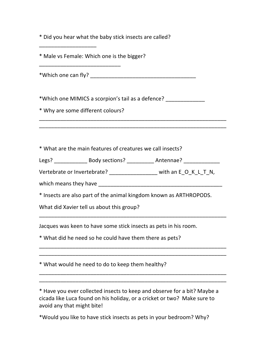|  |  |  |  |  |  |  |  |  |  | * Did you hear what the baby stick insects are called? |
|--|--|--|--|--|--|--|--|--|--|--------------------------------------------------------|
|--|--|--|--|--|--|--|--|--|--|--------------------------------------------------------|

\* Male vs Female: Which one is the bigger?

\*Which one can fly? \_\_\_\_\_\_\_\_\_\_\_\_\_\_\_\_\_\_\_\_\_\_\_\_\_\_\_\_\_\_\_\_\_\_\_

\*Which one MIMICS a scorpion's tail as a defence?

\* Why are some different colours? 

\_\_\_\_\_\_\_\_\_\_\_\_\_\_\_\_\_\_\_\_\_\_\_\_\_\_\_

\_\_\_\_\_\_\_\_\_\_\_\_\_\_\_\_\_\_\_

\* What are the main features of creatures we call insects? 

Legs? \_\_\_\_\_\_\_\_\_\_\_\_\_\_\_\_\_\_\_\_ Body sections? \_\_\_\_\_\_\_\_\_\_\_\_\_\_\_\_ Antennae? \_\_\_\_\_\_\_\_\_\_\_\_

\_\_\_\_\_\_\_\_\_\_\_\_\_\_\_\_\_\_\_\_\_\_\_\_\_\_\_\_\_\_\_\_\_\_\_\_\_\_\_\_\_\_\_\_\_\_\_\_\_\_\_\_\_\_\_\_\_\_\_\_\_\_ \_\_\_\_\_\_\_\_\_\_\_\_\_\_\_\_\_\_\_\_\_\_\_\_\_\_\_\_\_\_\_\_\_\_\_\_\_\_\_\_\_\_\_\_\_\_\_\_\_\_\_\_\_\_\_\_\_\_\_\_\_\_

Vertebrate or Invertebrate?  $\rule{1em}{0.15mm}$  with an E\_O\_K\_L\_T\_N,

which means they have a state of the state of the state of the state of the state of the state of the state of the state of the state of the state of the state of the state of the state of the state of the state of the sta

\* Insects are also part of the animal kingdom known as ARTHROPODS. 

\_\_\_\_\_\_\_\_\_\_\_\_\_\_\_\_\_\_\_\_\_\_\_\_\_\_\_\_\_\_\_\_\_\_\_\_\_\_\_\_\_\_\_\_\_\_\_\_\_\_\_\_\_\_\_\_\_\_\_\_\_\_

\_\_\_\_\_\_\_\_\_\_\_\_\_\_\_\_\_\_\_\_\_\_\_\_\_\_\_\_\_\_\_\_\_\_\_\_\_\_\_\_\_\_\_\_\_\_\_\_\_\_\_\_\_\_\_\_\_\_\_\_\_\_ \_\_\_\_\_\_\_\_\_\_\_\_\_\_\_\_\_\_\_\_\_\_\_\_\_\_\_\_\_\_\_\_\_\_\_\_\_\_\_\_\_\_\_\_\_\_\_\_\_\_\_\_\_\_\_\_\_\_\_\_\_\_

\_\_\_\_\_\_\_\_\_\_\_\_\_\_\_\_\_\_\_\_\_\_\_\_\_\_\_\_\_\_\_\_\_\_\_\_\_\_\_\_\_\_\_\_\_\_\_\_\_\_\_\_\_\_\_\_\_\_\_\_\_\_ \_\_\_\_\_\_\_\_\_\_\_\_\_\_\_\_\_\_\_\_\_\_\_\_\_\_\_\_\_\_\_\_\_\_\_\_\_\_\_\_\_\_\_\_\_\_\_\_\_\_\_\_\_\_\_\_\_\_\_\_\_\_

What did Xavier tell us about this group?

Jacques was keen to have some stick insects as pets in his room.

\* What did he need so he could have them there as pets?

\* What would he need to do to keep them healthy?

\* Have you ever collected insects to keep and observe for a bit? Maybe a cicada like Luca found on his holiday, or a cricket or two? Make sure to avoid any that might bite!

\*Would you like to have stick insects as pets in your bedroom? Why?